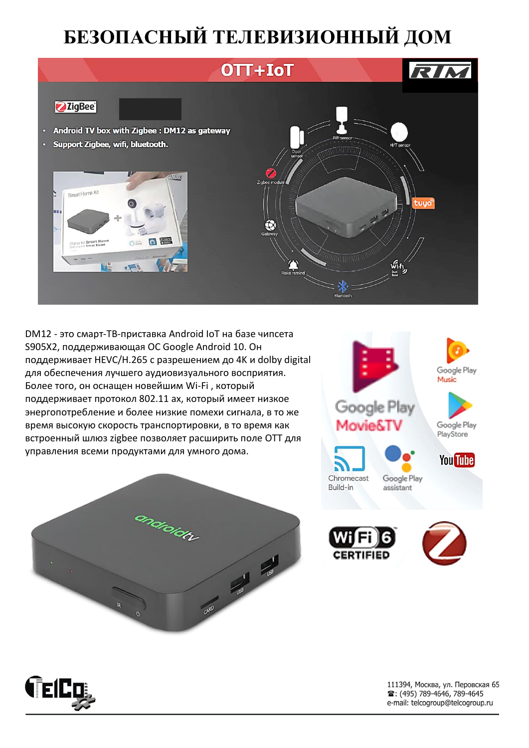## **БЕЗОПАСНЫЙ ТЕЛЕВИЗИОННЫЙ ДОМ**

## OTT+IoT



## **ZigBee**



DM12 - это смарт-ТВ-приставка Android IoT на базе чипсета S905X2, поддерживающая ОС Google Android 10. Он поддерживает HEVC/H.265 с разрешением до 4K и dolby digital для обеспечения лучшего аудиовизуального восприятия. Более того, он оснащен новейшим Wi-Fi , который поддерживает протокол 802.11 ax, который имеет низкое энергопотребление и более низкие помехи сигнала, в то же время высокую скорость транспортировки, в то время как встроенный шлюз zigbee позволяет расширить поле OTT для управления всеми продуктами для умного дома.









111394, Москва, ул. Перовская 65 **■: (495) 789-4646, 789-4645** e-mail: telcogroup@telcogroup.ru

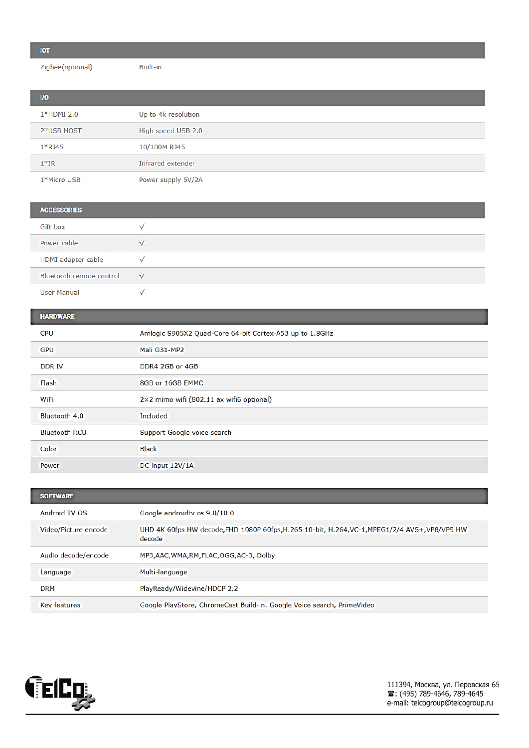| _ |  |
|---|--|

Zigbee(optional)

Built-in

| $U$           |                     |
|---------------|---------------------|
| $1*$ HDMI 2.0 | Up to 4k resolution |
| 2*USB HOST    | High speed USB 2.0  |
| $1*RJ45$      | 10/100M RJ45        |
| $1*IR$        | Infrared extender   |
| 1*Micro USB   | Power supply 5V/2A  |

| <b>ACCESSORIES</b>       |           |
|--------------------------|-----------|
| Gift box                 |           |
| Power cable              | v         |
| HDMI adapter cable       |           |
| Bluetooth remote control | $\sqrt{}$ |
| <b>User Manual</b>       |           |

## HARDWARE

| <b>CPU</b>           | Amlogic S905X2 Quad-Core 64-bit Cortex-A53 up to 1.8GHz |  |
|----------------------|---------------------------------------------------------|--|
| <b>GPU</b>           | Mali G31-MP2                                            |  |
| DDR IV               | DDR4 2GB or 4GB                                         |  |
| Flash                | 8GB or 16GB EMMC                                        |  |
| WiFi                 | 2×2 mimo wifi (802.11 ax wifi6 optional)                |  |
| Bluetooth 4.0        | Included                                                |  |
| <b>Bluetooth RCU</b> | Support Google voice search                             |  |
| Color                | <b>Black</b>                                            |  |
| Power                | DC input 12V/1A                                         |  |

| <b>SOFTWARE</b>      |                                                                                                          |  |
|----------------------|----------------------------------------------------------------------------------------------------------|--|
| Android TV OS        | Google androidty os 9.0/10.0                                                                             |  |
| Video/Picture encode | UHD 4K 60fps HW decode, FHD 1080P 60fps, H.265 10-bit, H.264, VC-1, MPEG1/2/4 AVS+, VP8/VP9 HW<br>decode |  |
| Audio decode/encode  | MP3, AAC, WMA, RM, FLAC, OGG, AC-3, Dolby                                                                |  |
| Language             | Multi-language                                                                                           |  |
| <b>DRM</b>           | PlayReady/Widevine/HDCP 2.2                                                                              |  |
| Key features         | Google PlayStore, ChromeCast Build-in, Google Voice search, PrimeVideo                                   |  |

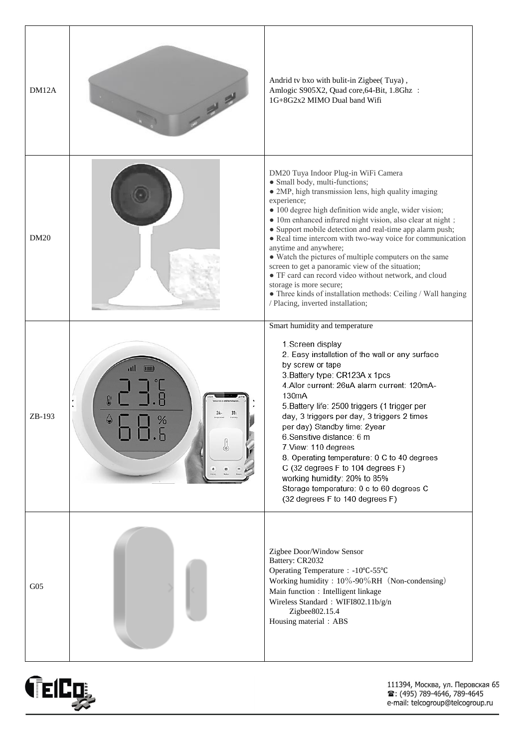| DM12A           |                                            | Andrid tv bxo with bulit-in Zigbee(Tuya),<br>Amlogic S905X2, Quad core, 64-Bit, 1.8Ghz :<br>1G+8G2x2 MIMO Dual band Wifi                                                                                                                                                                                                                                                                                                                                                                                                                                                                                                                                                                                                       |
|-----------------|--------------------------------------------|--------------------------------------------------------------------------------------------------------------------------------------------------------------------------------------------------------------------------------------------------------------------------------------------------------------------------------------------------------------------------------------------------------------------------------------------------------------------------------------------------------------------------------------------------------------------------------------------------------------------------------------------------------------------------------------------------------------------------------|
| DM20            |                                            | DM20 Tuya Indoor Plug-in WiFi Camera<br>· Small body, multi-functions;<br>• 2MP, high transmission lens, high quality imaging<br>experience;<br>· 100 degree high definition wide angle, wider vision;<br>· 10m enhanced infrared night vision, also clear at night;<br>• Support mobile detection and real-time app alarm push;<br>• Real time intercom with two-way voice for communication<br>anytime and anywhere;<br>• Watch the pictures of multiple computers on the same<br>screen to get a panoramic view of the situation;<br>• TF card can record video without network, and cloud<br>storage is more secure;<br>• Three kinds of installation methods: Ceiling / Wall hanging<br>/ Placing, inverted installation; |
| ZB-193          | all<br>$\overline{\mathbf{u}}$<br>31.<br>% | Smart humidity and temperature<br>1.Screen display<br>2. Easy installation of the wall or any surface<br>by screw or tape<br>3. Battery type: CR123A x 1pcs<br>4. Allor current: 26uA alarm current: 120mA-<br>130mA<br>5. Battery life: 2500 triggers (1 trigger per<br>day, 3 triggers per day, 3 triggers 2 times<br>per day) Standby time: 2year<br>6.Sensitive distance: 6 m<br>7. View: 110 degrees<br>8. Operating temperature: 0 C to 40 degrees<br>C (32 degrees F to 104 degrees F)<br>working humidity: 20% to 85%<br>Storage temperature: 0 c to 60 degrees C<br>(32 degrees F to 140 degrees F)                                                                                                                   |
| G <sub>05</sub> |                                            | Zigbee Door/Window Sensor<br>Battery: CR2032<br>Operating Temperature: -10°C-55°C<br>Working humidity: 10%-90%RH (Non-condensing)<br>Main function: Intelligent linkage<br>Wireless Standard: WIFI802.11b/g/n<br>Zigbee802.15.4<br>Housing material: ABS                                                                                                                                                                                                                                                                                                                                                                                                                                                                       |



111394, Москва, ул. Перовская 65<br>☎: (495) 789-4646, 789-4645<br>e-mail: telcogroup@telcogroup.ru